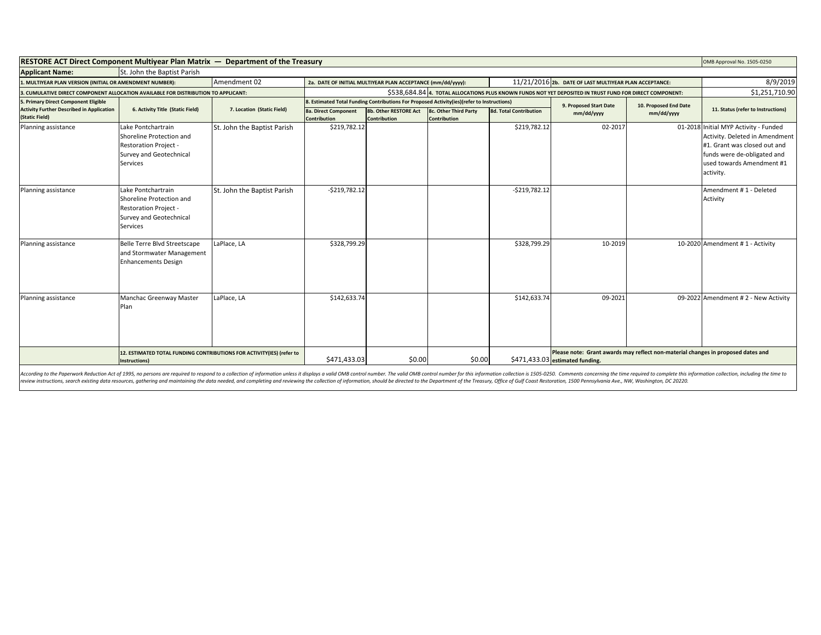| <b>RESTORE ACT Direct Component Multivear Plan Matrix - Department of the Treasury</b> |                                                                                                                              |                                                                                                                       |                                                                                                                                               |                                              |                                       |                               | OMB Approval No. 1505-0250                                                                                          |            |                                                                                                                                                                                  |
|----------------------------------------------------------------------------------------|------------------------------------------------------------------------------------------------------------------------------|-----------------------------------------------------------------------------------------------------------------------|-----------------------------------------------------------------------------------------------------------------------------------------------|----------------------------------------------|---------------------------------------|-------------------------------|---------------------------------------------------------------------------------------------------------------------|------------|----------------------------------------------------------------------------------------------------------------------------------------------------------------------------------|
| <b>Applicant Name:</b>                                                                 | St. John the Baptist Parish                                                                                                  |                                                                                                                       |                                                                                                                                               |                                              |                                       |                               |                                                                                                                     |            |                                                                                                                                                                                  |
| Amendment 02<br>1. MULTIYEAR PLAN VERSION (INITIAL OR AMENDMENT NUMBER):               |                                                                                                                              | 11/21/2016 2b. DATE OF LAST MULTIYEAR PLAN ACCEPTANCE:<br>2a. DATE OF INITIAL MULTIYEAR PLAN ACCEPTANCE (mm/dd/yyyy): |                                                                                                                                               |                                              |                                       |                               |                                                                                                                     | 8/9/2019   |                                                                                                                                                                                  |
| 3. CUMULATIVE DIRECT COMPONENT ALLOCATION AVAILABLE FOR DISTRIBUTION TO APPLICANT:     |                                                                                                                              | \$538,684.84 4. TOTAL ALLOCATIONS PLUS KNOWN FUNDS NOT YET DEPOSITED IN TRUST FUND FOR DIRECT COMPONENT:              |                                                                                                                                               |                                              |                                       |                               | \$1,251,710.90                                                                                                      |            |                                                                                                                                                                                  |
| 5. Primary Direct Component Eligible                                                   |                                                                                                                              |                                                                                                                       | 8. Estimated Total Funding Contributions For Proposed Activity(ies)(refer to Instructions)<br>9. Proposed Start Date<br>10. Proposed End Date |                                              |                                       |                               |                                                                                                                     |            |                                                                                                                                                                                  |
| <b>Activity Further Described in Application</b><br>(Static Field)                     | 6. Activity Title (Static Field)                                                                                             | 7. Location (Static Field)                                                                                            | <b>8a. Direct Component</b><br><b>Contribution</b>                                                                                            | 8b. Other RESTORE Act<br><b>Contribution</b> | 8c. Other Third Party<br>Contribution | <b>8d. Total Contribution</b> | mm/dd/yyyy                                                                                                          | mm/dd/yyyy | 11. Status (refer to Instructions)                                                                                                                                               |
| Planning assistance                                                                    | Lake Pontchartrain<br>Shoreline Protection and<br><b>Restoration Project -</b><br>Survey and Geotechnical<br><b>Services</b> | St. John the Baptist Parish                                                                                           | \$219,782.12                                                                                                                                  |                                              |                                       | \$219,782.12                  | 02-2017                                                                                                             |            | 01-2018 Initial MYP Activity - Funded<br>Activity. Deleted in Amendment<br>#1. Grant was closed out and<br>funds were de-obligated and<br>used towards Amendment #1<br>activity. |
| Planning assistance                                                                    | Lake Pontchartrain<br>Shoreline Protection and<br><b>Restoration Project -</b><br>Survey and Geotechnical<br>Services        | St. John the Baptist Parish                                                                                           | $-5219,782.12$                                                                                                                                |                                              |                                       | $-5219,782.12$                |                                                                                                                     |            | Amendment # 1 - Deleted<br>Activity                                                                                                                                              |
| Planning assistance                                                                    | Belle Terre Blvd Streetscape<br>and Stormwater Management<br><b>Enhancements Design</b>                                      | LaPlace, LA                                                                                                           | \$328,799.29                                                                                                                                  |                                              |                                       | \$328,799.29                  | 10-2019                                                                                                             |            | 10-2020 Amendment #1 - Activity                                                                                                                                                  |
| Planning assistance                                                                    | Manchac Greenway Master<br>Plan                                                                                              | LaPlace, LA                                                                                                           | \$142,633.74                                                                                                                                  |                                              |                                       | \$142,633.74                  | 09-2021                                                                                                             |            | 09-2022 Amendment # 2 - New Activity                                                                                                                                             |
|                                                                                        | 12. ESTIMATED TOTAL FUNDING CONTRIBUTIONS FOR ACTIVITY(IES) (refer to<br>Instructions)                                       |                                                                                                                       | \$471,433.03                                                                                                                                  | \$0.00                                       | \$0.00                                |                               | Please note: Grant awards may reflect non-material changes in proposed dates and<br>\$471,433.03 estimated funding. |            |                                                                                                                                                                                  |

According to the Paperwork Reduction Act of 1995, no persons are required to respond to a collection of information unless it displays a valid OMB control number. The valid OMB control number for this information collectio review instructions, search existing data resources, gathering and maintaining the data needed, and completing and reviewing the collection of information, should be directed to the Department of the Treasury, Office of Gu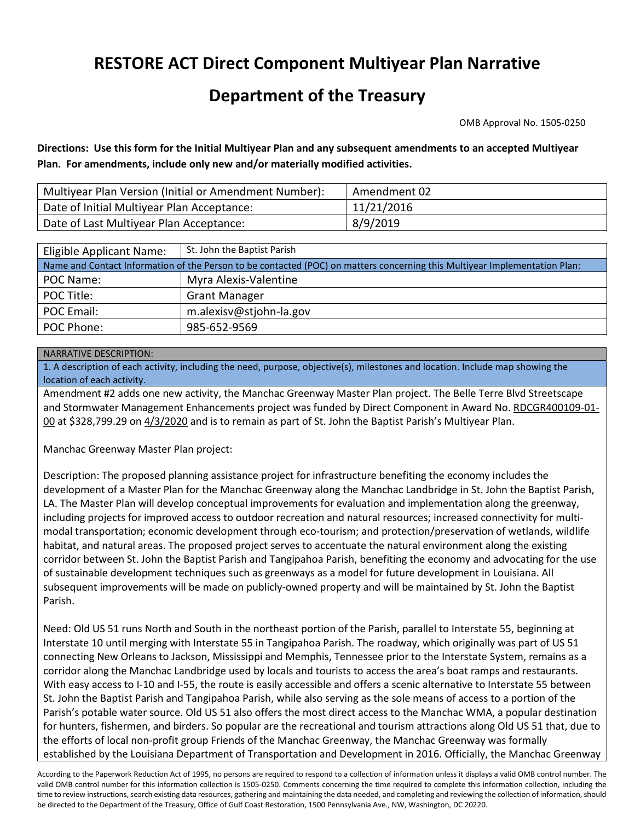## **RESTORE ACT Direct Component Multiyear Plan Narrative**

## **Department of the Treasury**

OMB Approval No. 1505-0250

**Directions: Use this form for the Initial Multiyear Plan and any subsequent amendments to an accepted Multiyear Plan. For amendments, include only new and/or materially modified activities.**

| Multiyear Plan Version (Initial or Amendment Number): | Amendment 02 |
|-------------------------------------------------------|--------------|
| Date of Initial Multiyear Plan Acceptance:            | 11/21/2016   |
| Date of Last Multiyear Plan Acceptance:               | 8/9/2019     |

| Eligible Applicant Name:                                                                                                   | St. John the Baptist Parish |  |  |  |  |
|----------------------------------------------------------------------------------------------------------------------------|-----------------------------|--|--|--|--|
| Name and Contact Information of the Person to be contacted (POC) on matters concerning this Multiyear Implementation Plan: |                             |  |  |  |  |
| POC Name:                                                                                                                  | Myra Alexis-Valentine       |  |  |  |  |
| POC Title:                                                                                                                 | <b>Grant Manager</b>        |  |  |  |  |
| POC Email:                                                                                                                 | m.alexisv@stjohn-la.gov     |  |  |  |  |
| POC Phone:                                                                                                                 | 985-652-9569                |  |  |  |  |

## NARRATIVE DESCRIPTION:

1. A description of each activity, including the need, purpose, objective(s), milestones and location. Include map showing the location of each activity.

Amendment #2 adds one new activity, the Manchac Greenway Master Plan project. The Belle Terre Blvd Streetscape and Stormwater Management Enhancements project was funded by Direct Component in Award No. RDCGR400109-01- 00 at \$328,799.29 on 4/3/2020 and is to remain as part of St. John the Baptist Parish's Multiyear Plan.

Manchac Greenway Master Plan project:

Description: The proposed planning assistance project for infrastructure benefiting the economy includes the development of a Master Plan for the Manchac Greenway along the Manchac Landbridge in St. John the Baptist Parish, LA. The Master Plan will develop conceptual improvements for evaluation and implementation along the greenway, including projects for improved access to outdoor recreation and natural resources; increased connectivity for multimodal transportation; economic development through eco-tourism; and protection/preservation of wetlands, wildlife habitat, and natural areas. The proposed project serves to accentuate the natural environment along the existing corridor between St. John the Baptist Parish and Tangipahoa Parish, benefiting the economy and advocating for the use of sustainable development techniques such as greenways as a model for future development in Louisiana. All subsequent improvements will be made on publicly-owned property and will be maintained by St. John the Baptist Parish.

Need: Old US 51 runs North and South in the northeast portion of the Parish, parallel to Interstate 55, beginning at Interstate 10 until merging with Interstate 55 in Tangipahoa Parish. The roadway, which originally was part of US 51 connecting New Orleans to Jackson, Mississippi and Memphis, Tennessee prior to the Interstate System, remains as a corridor along the Manchac Landbridge used by locals and tourists to access the area's boat ramps and restaurants. With easy access to I-10 and I-55, the route is easily accessible and offers a scenic alternative to Interstate 55 between St. John the Baptist Parish and Tangipahoa Parish, while also serving as the sole means of access to a portion of the Parish's potable water source. Old US 51 also offers the most direct access to the Manchac WMA, a popular destination for hunters, fishermen, and birders. So popular are the recreational and tourism attractions along Old US 51 that, due to the efforts of local non-profit group Friends of the Manchac Greenway, the Manchac Greenway was formally established by the Louisiana Department of Transportation and Development in 2016. Officially, the Manchac Greenway

According to the Paperwork Reduction Act of 1995, no persons are required to respond to a collection of information unless it displays a valid OMB control number. The valid OMB control number for this information collection is 1505-0250. Comments concerning the time required to complete this information collection, including the time to review instructions, search existing data resources, gathering and maintaining the data needed, and completing and reviewing the collection of information, should be directed to the Department of the Treasury, Office of Gulf Coast Restoration, 1500 Pennsylvania Ave., NW, Washington, DC 20220.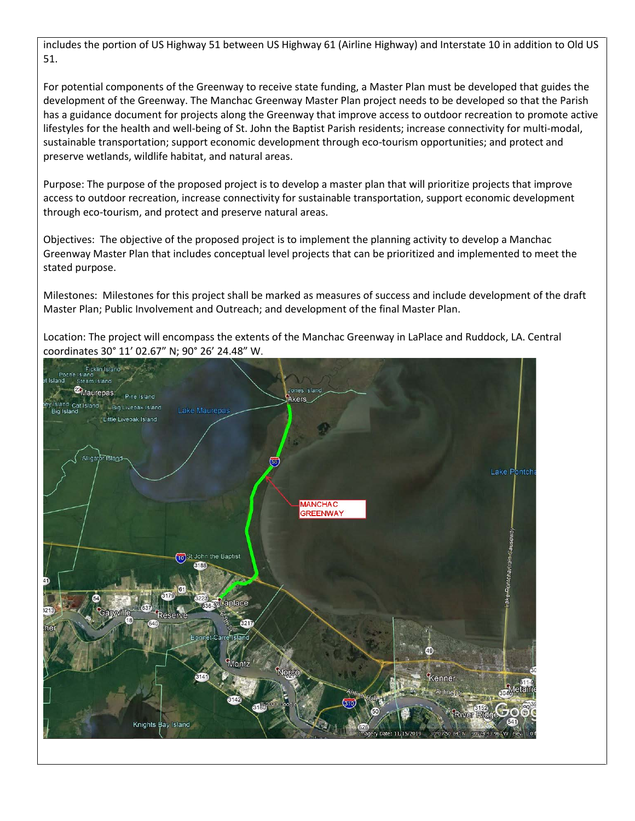includes the portion of US Highway 51 between US Highway 61 (Airline Highway) and Interstate 10 in addition to Old US 51.

For potential components of the Greenway to receive state funding, a Master Plan must be developed that guides the development of the Greenway. The Manchac Greenway Master Plan project needs to be developed so that the Parish has a guidance document for projects along the Greenway that improve access to outdoor recreation to promote active lifestyles for the health and well-being of St. John the Baptist Parish residents; increase connectivity for multi-modal, sustainable transportation; support economic development through eco-tourism opportunities; and protect and preserve wetlands, wildlife habitat, and natural areas.

Purpose: The purpose of the proposed project is to develop a master plan that will prioritize projects that improve access to outdoor recreation, increase connectivity for sustainable transportation, support economic development through eco-tourism, and protect and preserve natural areas.

Objectives: The objective of the proposed project is to implement the planning activity to develop a Manchac Greenway Master Plan that includes conceptual level projects that can be prioritized and implemented to meet the stated purpose.

Milestones: Milestones for this project shall be marked as measures of success and include development of the draft Master Plan; Public Involvement and Outreach; and development of the final Master Plan.

Location: The project will encompass the extents of the Manchac Greenway in LaPlace and Ruddock, LA. Central coordinates 30° 11' 02.67" N; 90° 26' 24.48" W.